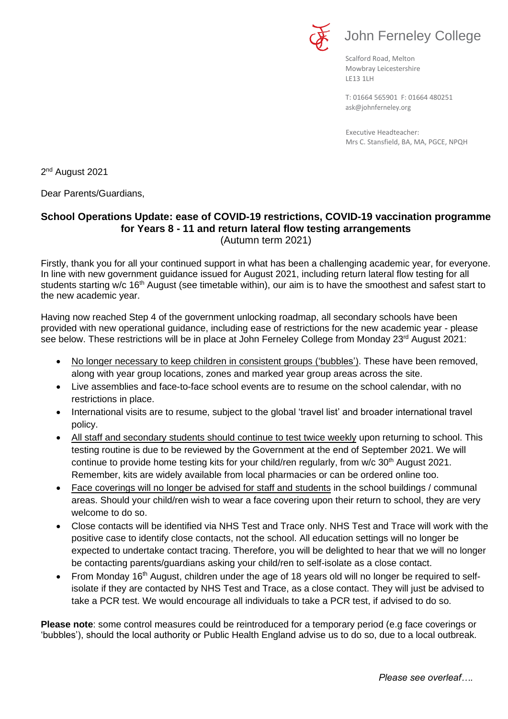

# John Ferneley College

Scalford Road, Melton Mowbray Leicestershire LE13 1LH

[ask@johnferneley.org](mailto:ask@johnferneley.org) T: 01664 565901 F: 01664 480251

 Executive Headteacher: Mrs C. Stansfield, BA, MA, PGCE, NPQH

2 nd August 2021

Dear Parents/Guardians,

#### **School Operations Update: ease of COVID-19 restrictions, COVID-19 vaccination programme for Years 8 - 11 and return lateral flow testing arrangements**  (Autumn term 2021)

Firstly, thank you for all your continued support in what has been a challenging academic year, for everyone. In line with new government guidance issued for August 2021, including return lateral flow testing for all students starting w/c 16<sup>th</sup> August (see timetable within), our aim is to have the smoothest and safest start to the new academic year.

Having now reached Step 4 of the government unlocking roadmap, all secondary schools have been provided with new operational guidance, including ease of restrictions for the new academic year - please see below. These restrictions will be in place at John Ferneley College from Monday 23<sup>rd</sup> August 2021:

- No longer necessary to keep children in consistent groups ('bubbles'). These have been removed, along with year group locations, zones and marked year group areas across the site.
- Live assemblies and face-to-face school events are to resume on the school calendar, with no restrictions in place.
- International visits are to resume, subject to the global 'travel list' and broader international travel policy.
- All staff and secondary students should continue to test twice weekly upon returning to school. This testing routine is due to be reviewed by the Government at the end of September 2021. We will continue to provide home testing kits for your child/ren regularly, from w/c 30<sup>th</sup> August 2021. Remember, kits are widely available from local pharmacies or can be ordered online too.
- Face coverings will no longer be advised for staff and students in the school buildings / communal areas. Should your child/ren wish to wear a face covering upon their return to school, they are very welcome to do so.
- Close contacts will be identified via NHS Test and Trace only. NHS Test and Trace will work with the positive case to identify close contacts, not the school. All education settings will no longer be expected to undertake contact tracing. Therefore, you will be delighted to hear that we will no longer be contacting parents/guardians asking your child/ren to self-isolate as a close contact.
- From Monday 16<sup>th</sup> August, children under the age of 18 years old will no longer be required to selfisolate if they are contacted by NHS Test and Trace, as a close contact. They will just be advised to take a PCR test. We would encourage all individuals to take a PCR test, if advised to do so.

**Please note**: some control measures could be reintroduced for a temporary period (e.g face coverings or 'bubbles'), should the local authority or Public Health England advise us to do so, due to a local outbreak.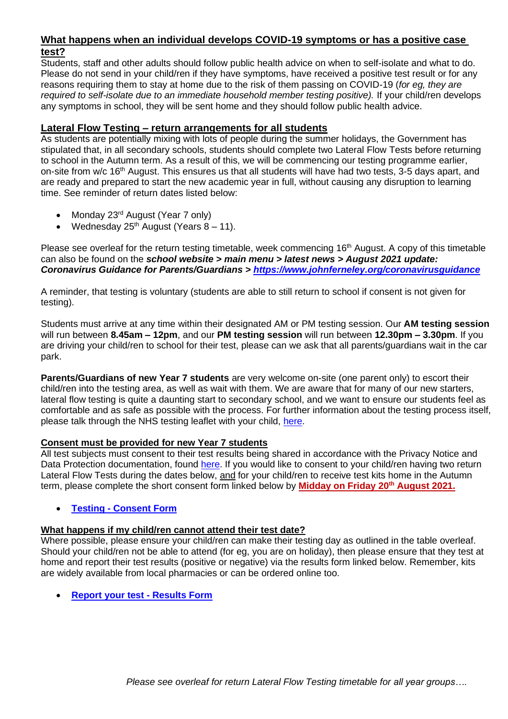### **What happens when an individual develops COVID-19 symptoms or has a positive case test?**

Students, staff and other adults should follow public health advice on when to self-isolate and what to do. Please do not send in your child/ren if they have symptoms, have received a positive test result or for any reasons requiring them to stay at home due to the risk of them passing on COVID-19 (*for eg, they are required to self-isolate due to an immediate household member testing positive).* If your child/ren develops any symptoms in school, they will be sent home and they should follow public health advice.

### **Lateral Flow Testing – return arrangements for all students**

As students are potentially mixing with lots of people during the summer holidays, the Government has stipulated that, in all secondary schools, students should complete two Lateral Flow Tests before returning to school in the Autumn term. As a result of this, we will be commencing our testing programme earlier, on-site from w/c 16<sup>th</sup> August. This ensures us that all students will have had two tests, 3-5 days apart, and are ready and prepared to start the new academic year in full, without causing any disruption to learning time. See reminder of return dates listed below:

- Monday 23<sup>rd</sup> August (Year 7 only)
- Wednesday  $25<sup>th</sup>$  August (Years  $8 11$ ).

Please see overleaf for the return testing timetable, week commencing 16<sup>th</sup> August. A copy of this timetable can also be found on the *school website > main menu > latest news > August 2021 update: Coronavirus Guidance for Parents/Guardians ><https://www.johnferneley.org/coronavirusguidance>*

A reminder, that testing is voluntary (students are able to still return to school if consent is not given for testing).

Students must arrive at any time within their designated AM or PM testing session. Our **AM testing session** will run between **8.45am – 12pm**, and our **PM testing session** will run between **12.30pm – 3.30pm**. If you are driving your child/ren to school for their test, please can we ask that all parents/guardians wait in the car park.

**Parents/Guardians of new Year 7 students** are very welcome on-site (one parent only) to escort their child/ren into the testing area, as well as wait with them. We are aware that for many of our new starters, lateral flow testing is quite a daunting start to secondary school, and we want to ensure our students feel as comfortable and as safe as possible with the process. For further information about the testing process itself, please talk through the NHS testing leaflet with your child, [here.](https://www.johnferneley.org/attachments/download.asp?file=2287&type=pdf)

#### **Consent must be provided for new Year 7 students**

All test subjects must consent to their test results being shared in accordance with the Privacy Notice and Data Protection documentation, found [here.](https://www.mowbrayeducation.org/policies) If you would like to consent to your child/ren having two return Lateral Flow Tests during the dates below, and for your child/ren to receive test kits home in the Autumn term, please complete the short consent form linked below by **Midday on Friday 20th August 2021.**

#### • **Testing - [Consent Form](https://forms.office.com/Pages/ResponsePage.aspx?id=Qwncg1n5rUqcJcJ8tJg-pA4SyULUbg5Nil9hMMvzoBdUQ0xEUU9YN1JMTllWRE43NVRPUVVJWFpTQS4u)**

#### **What happens if my child/ren cannot attend their test date?**

Where possible, please ensure your child/ren can make their testing day as outlined in the table overleaf. Should your child/ren not be able to attend (for eg, you are on holiday), then please ensure that they test at home and report their test results (positive or negative) via the results form linked below. Remember, kits are widely available from local pharmacies or can be ordered online too.

• **[Report your test -](https://forms.office.com/Pages/ResponsePage.aspx?id=Qwncg1n5rUqcJcJ8tJg-pA4SyULUbg5Nil9hMMvzoBdUQklVSUFaMFk4WDI1TlRQTERNQ1NOOEgyMS4u&wdLOR=cBEB78342-6711-417D-A997-996EA52D3FA7) Results Form**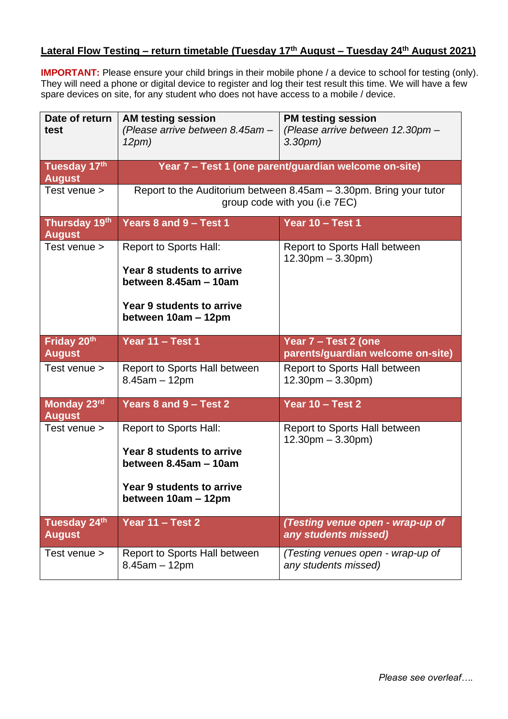# **Lateral Flow Testing – return timetable (Tuesday 17th August – Tuesday 24th August 2021)**

**IMPORTANT:** Please ensure your child brings in their mobile phone / a device to school for testing (only). They will need a phone or digital device to register and log their test result this time. We will have a few spare devices on site, for any student who does not have access to a mobile / device.

| Date of return<br>test         | <b>AM testing session</b><br>(Please arrive between 8.45am -<br>12pm)                                                                          | <b>PM testing session</b><br>(Please arrive between 12.30pm -<br>3.30 <sub>pm</sub> |
|--------------------------------|------------------------------------------------------------------------------------------------------------------------------------------------|-------------------------------------------------------------------------------------|
| Tuesday 17th<br><b>August</b>  | Year 7 - Test 1 (one parent/guardian welcome on-site)                                                                                          |                                                                                     |
| Test venue >                   | Report to the Auditorium between 8.45am - 3.30pm. Bring your tutor<br>group code with you (i.e 7EC)                                            |                                                                                     |
| Thursday 19th<br><b>August</b> | Years 8 and 9 - Test 1                                                                                                                         | Year 10 - Test 1                                                                    |
| Test venue >                   | <b>Report to Sports Hall:</b><br>Year 8 students to arrive<br>between 8.45am - 10am<br><b>Year 9 students to arrive</b><br>between 10am - 12pm | Report to Sports Hall between<br>$12.30pm - 3.30pm$                                 |
| Friday 20th<br><b>August</b>   | Year 11 - Test 1                                                                                                                               | Year 7 - Test 2 (one<br>parents/guardian welcome on-site)                           |
| Test venue >                   | Report to Sports Hall between<br>$8.45am - 12pm$                                                                                               | Report to Sports Hall between<br>$12.30pm - 3.30pm$                                 |
| Monday 23rd<br><b>August</b>   | Years 8 and 9 - Test 2                                                                                                                         | Year 10 - Test 2                                                                    |
| Test venue >                   | Report to Sports Hall:<br>Year 8 students to arrive<br>between 8.45am - 10am<br>Year 9 students to arrive<br>between 10am - 12pm               | Report to Sports Hall between<br>$12.30pm - 3.30pm$                                 |
| Tuesday 24th<br><b>August</b>  | Year 11 - Test 2                                                                                                                               | (Testing venue open - wrap-up of<br>any students missed)                            |
| Test venue >                   | Report to Sports Hall between<br>$8.45am - 12pm$                                                                                               | (Testing venues open - wrap-up of<br>any students missed)                           |